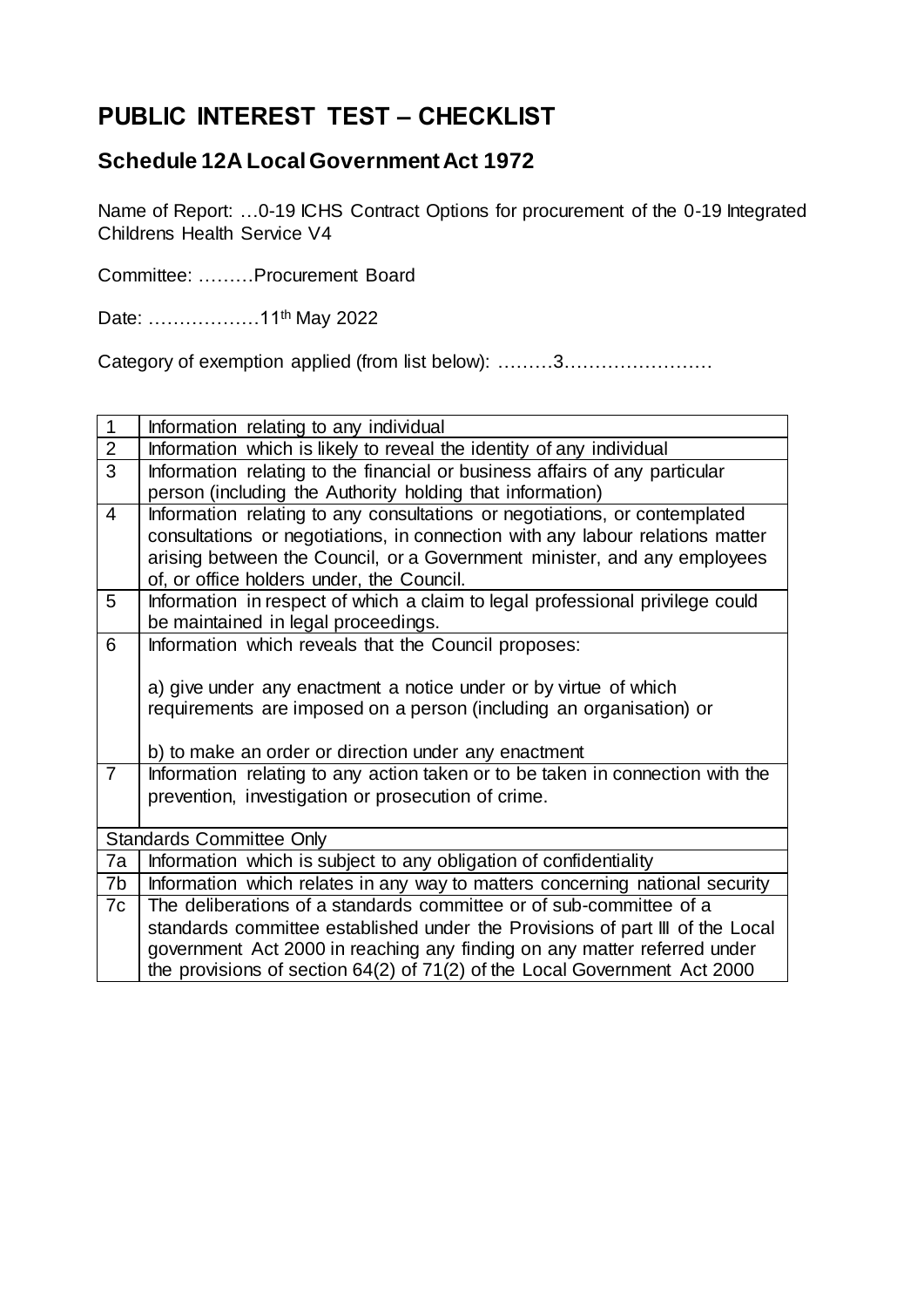## **PUBLIC INTEREST TEST – CHECKLIST**

## **Schedule 12A Local Government Act 1972**

Name of Report: …0-19 ICHS Contract Options for procurement of the 0-19 Integrated Childrens Health Service V4

Committee: ………Procurement Board

Date: ………………11<sup>th</sup> May 2022

Category of exemption applied (from list below): ………3……………………

| 1              | Information relating to any individual                                                                                                                                                                                                                                                                        |  |  |
|----------------|---------------------------------------------------------------------------------------------------------------------------------------------------------------------------------------------------------------------------------------------------------------------------------------------------------------|--|--|
| $\overline{2}$ | Information which is likely to reveal the identity of any individual                                                                                                                                                                                                                                          |  |  |
| 3              | Information relating to the financial or business affairs of any particular<br>person (including the Authority holding that information)                                                                                                                                                                      |  |  |
| $\overline{4}$ | Information relating to any consultations or negotiations, or contemplated<br>consultations or negotiations, in connection with any labour relations matter<br>arising between the Council, or a Government minister, and any employees<br>of, or office holders under, the Council.                          |  |  |
| 5              | Information in respect of which a claim to legal professional privilege could<br>be maintained in legal proceedings.                                                                                                                                                                                          |  |  |
| 6              | Information which reveals that the Council proposes:<br>a) give under any enactment a notice under or by virtue of which<br>requirements are imposed on a person (including an organisation) or                                                                                                               |  |  |
|                | b) to make an order or direction under any enactment                                                                                                                                                                                                                                                          |  |  |
| $\overline{7}$ | Information relating to any action taken or to be taken in connection with the<br>prevention, investigation or prosecution of crime.                                                                                                                                                                          |  |  |
|                | <b>Standards Committee Only</b>                                                                                                                                                                                                                                                                               |  |  |
| 7a             | Information which is subject to any obligation of confidentiality                                                                                                                                                                                                                                             |  |  |
| 7b             | Information which relates in any way to matters concerning national security                                                                                                                                                                                                                                  |  |  |
| 7c             | The deliberations of a standards committee or of sub-committee of a<br>standards committee established under the Provisions of part III of the Local<br>government Act 2000 in reaching any finding on any matter referred under<br>the provisions of section 64(2) of 71(2) of the Local Government Act 2000 |  |  |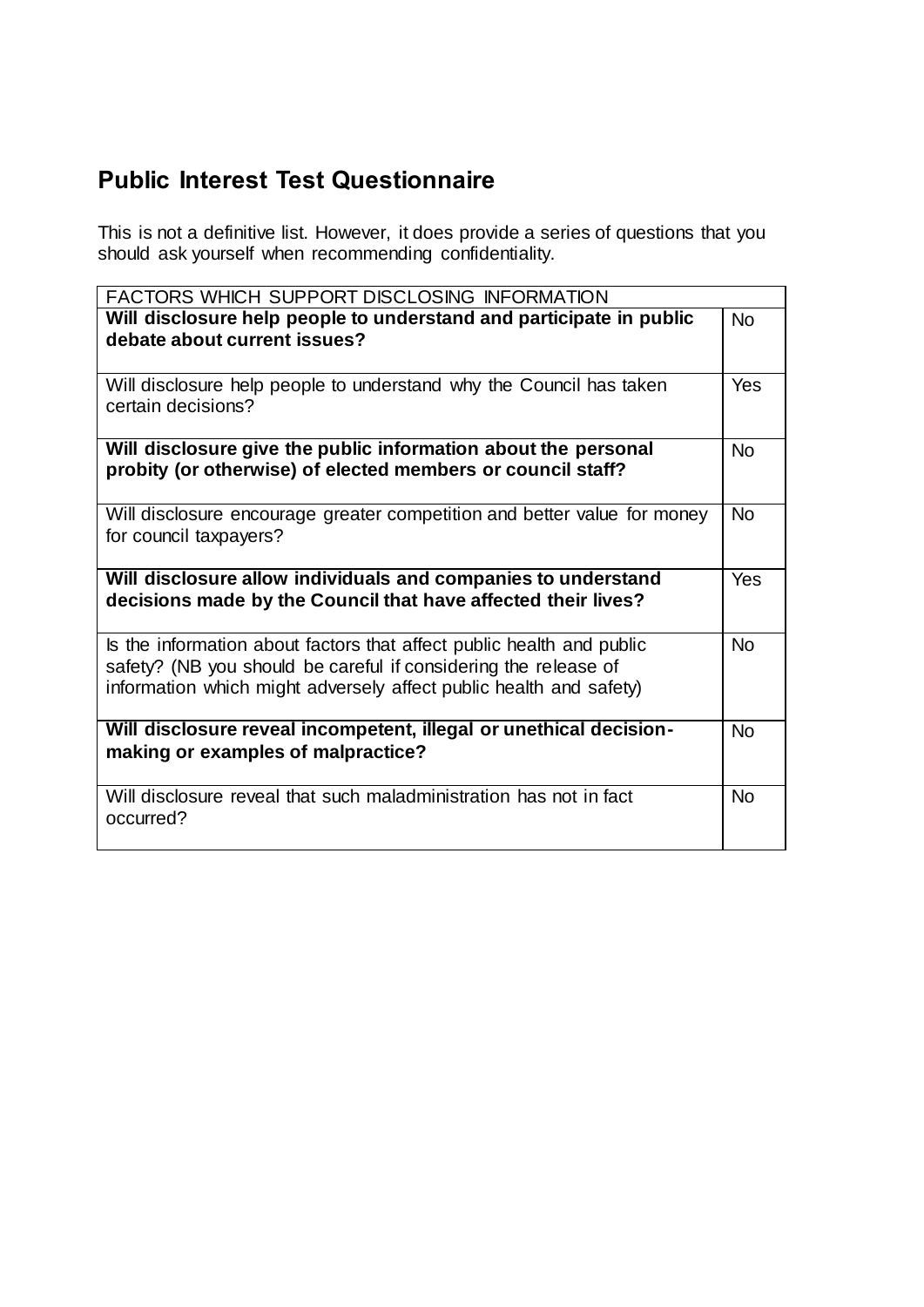## **Public Interest Test Questionnaire**

This is not a definitive list. However, it does provide a series of questions that you should ask yourself when recommending confidentiality.

| FACTORS WHICH SUPPORT DISCLOSING INFORMATION                                                                                                                                                                   |           |  |
|----------------------------------------------------------------------------------------------------------------------------------------------------------------------------------------------------------------|-----------|--|
| Will disclosure help people to understand and participate in public<br>debate about current issues?                                                                                                            | <b>No</b> |  |
| Will disclosure help people to understand why the Council has taken<br>certain decisions?                                                                                                                      | Yes       |  |
| Will disclosure give the public information about the personal<br>probity (or otherwise) of elected members or council staff?                                                                                  | <b>No</b> |  |
| Will disclosure encourage greater competition and better value for money<br>for council taxpayers?                                                                                                             | <b>No</b> |  |
| Will disclosure allow individuals and companies to understand<br>decisions made by the Council that have affected their lives?                                                                                 |           |  |
| Is the information about factors that affect public health and public<br>safety? (NB you should be careful if considering the release of<br>information which might adversely affect public health and safety) | <b>No</b> |  |
| Will disclosure reveal incompetent, illegal or unethical decision-<br>making or examples of malpractice?                                                                                                       |           |  |
| Will disclosure reveal that such maladministration has not in fact<br>occurred?                                                                                                                                | <b>No</b> |  |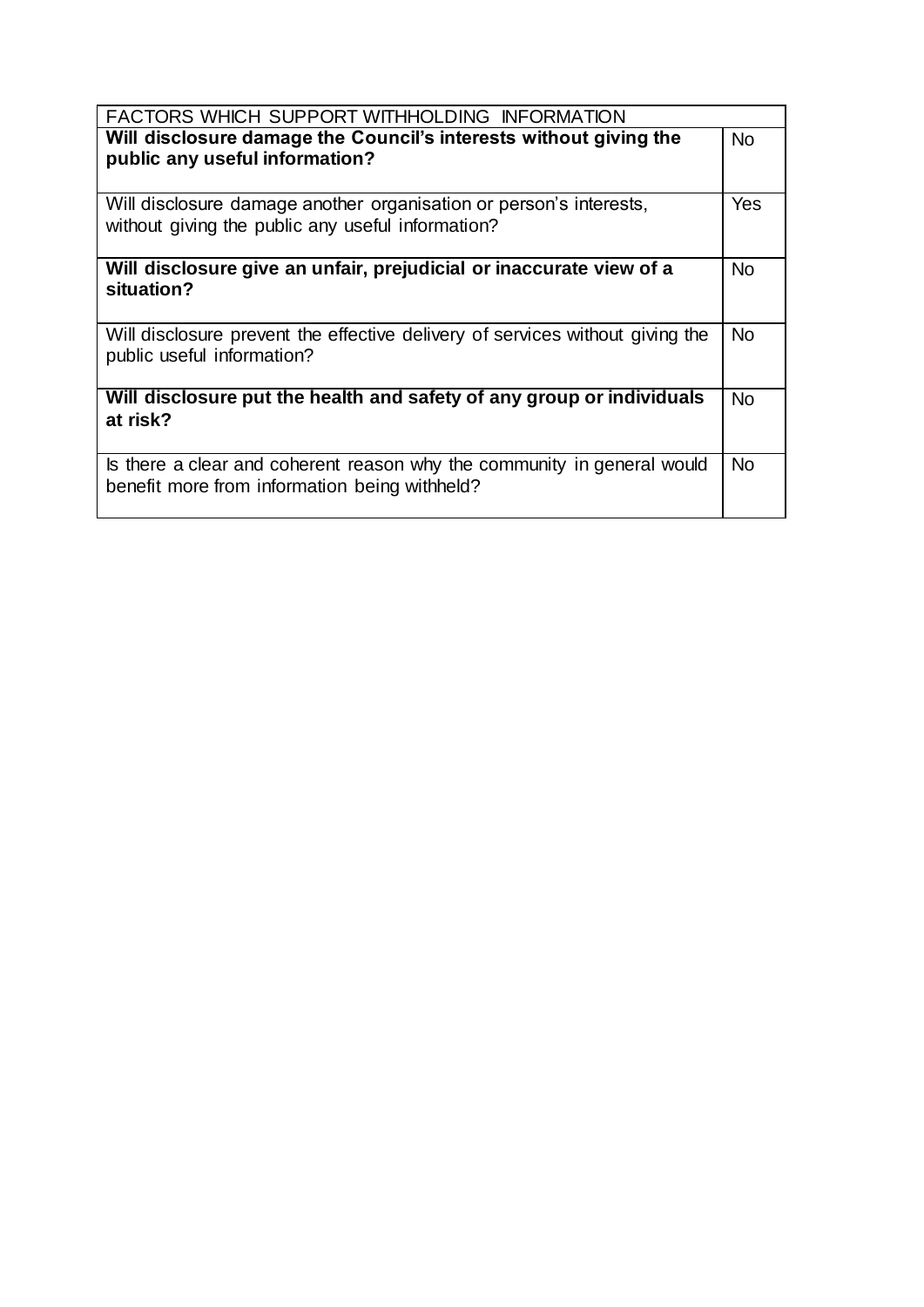| FACTORS WHICH SUPPORT WITHHOLDING INFORMATION                                                                            |           |  |
|--------------------------------------------------------------------------------------------------------------------------|-----------|--|
| Will disclosure damage the Council's interests without giving the<br>public any useful information?                      | No.       |  |
| Will disclosure damage another organisation or person's interests,<br>without giving the public any useful information?  | Yes.      |  |
| Will disclosure give an unfair, prejudicial or inaccurate view of a<br>situation?                                        | No.       |  |
| Will disclosure prevent the effective delivery of services without giving the<br>public useful information?              | <b>No</b> |  |
| Will disclosure put the health and safety of any group or individuals<br>at risk?                                        | <b>No</b> |  |
| Is there a clear and coherent reason why the community in general would<br>benefit more from information being withheld? | <b>No</b> |  |